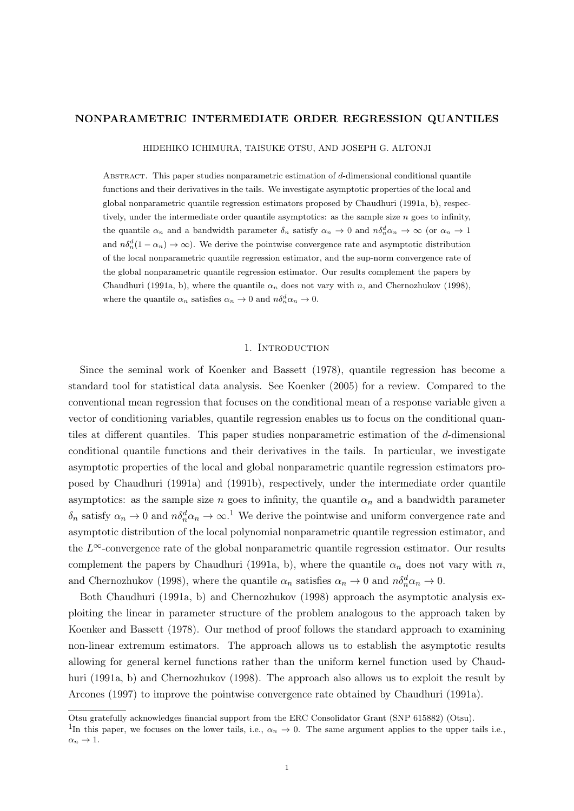### NONPARAMETRIC INTERMEDIATE ORDER REGRESSION QUANTILES

HIDEHIKO ICHIMURA, TAISUKE OTSU, AND JOSEPH G. ALTONJI

Abstract. This paper studies nonparametric estimation of d-dimensional conditional quantile functions and their derivatives in the tails. We investigate asymptotic properties of the local and global nonparametric quantile regression estimators proposed by Chaudhuri (1991a, b), respectively, under the intermediate order quantile asymptotics: as the sample size  $n$  goes to infinity, the quantile  $\alpha_n$  and a bandwidth parameter  $\delta_n$  satisfy  $\alpha_n \to 0$  and  $n\delta_n^d \alpha_n \to \infty$  (or  $\alpha_n \to 1$ and  $n\delta_n^d(1-\alpha_n) \to \infty$ ). We derive the pointwise convergence rate and asymptotic distribution of the local nonparametric quantile regression estimator, and the sup-norm convergence rate of the global nonparametric quantile regression estimator. Our results complement the papers by Chaudhuri (1991a, b), where the quantile  $\alpha_n$  does not vary with n, and Chernozhukov (1998), where the quantile  $\alpha_n$  satisfies  $\alpha_n \to 0$  and  $n \delta_n^d \alpha_n \to 0$ .

### 1. INTRODUCTION

Since the seminal work of Koenker and Bassett (1978), quantile regression has become a standard tool for statistical data analysis. See Koenker (2005) for a review. Compared to the conventional mean regression that focuses on the conditional mean of a response variable given a vector of conditioning variables, quantile regression enables us to focus on the conditional quantiles at different quantiles. This paper studies nonparametric estimation of the d-dimensional conditional quantile functions and their derivatives in the tails. In particular, we investigate asymptotic properties of the local and global nonparametric quantile regression estimators proposed by Chaudhuri (1991a) and (1991b), respectively, under the intermediate order quantile asymptotics: as the sample size n goes to infinity, the quantile  $\alpha_n$  and a bandwidth parameter  $\delta_n$  satisfy  $\alpha_n \to 0$  and  $n \delta_n^d \alpha_n \to \infty$ .<sup>1</sup> We derive the pointwise and uniform convergence rate and asymptotic distribution of the local polynomial nonparametric quantile regression estimator, and the  $L^{\infty}$ -convergence rate of the global nonparametric quantile regression estimator. Our results complement the papers by Chaudhuri (1991a, b), where the quantile  $\alpha_n$  does not vary with n, and Chernozhukov (1998), where the quantile  $\alpha_n$  satisfies  $\alpha_n \to 0$  and  $n \delta_n^d \alpha_n \to 0$ .

Both Chaudhuri (1991a, b) and Chernozhukov (1998) approach the asymptotic analysis exploiting the linear in parameter structure of the problem analogous to the approach taken by Koenker and Bassett (1978). Our method of proof follows the standard approach to examining non-linear extremum estimators. The approach allows us to establish the asymptotic results allowing for general kernel functions rather than the uniform kernel function used by Chaudhuri (1991a, b) and Chernozhukov (1998). The approach also allows us to exploit the result by Arcones (1997) to improve the pointwise convergence rate obtained by Chaudhuri (1991a).

Otsu gratefully acknowledges financial support from the ERC Consolidator Grant (SNP 615882) (Otsu).

<sup>&</sup>lt;sup>1</sup>In this paper, we focuses on the lower tails, i.e.,  $\alpha_n \to 0$ . The same argument applies to the upper tails i.e.,  $\alpha_n \to 1$ .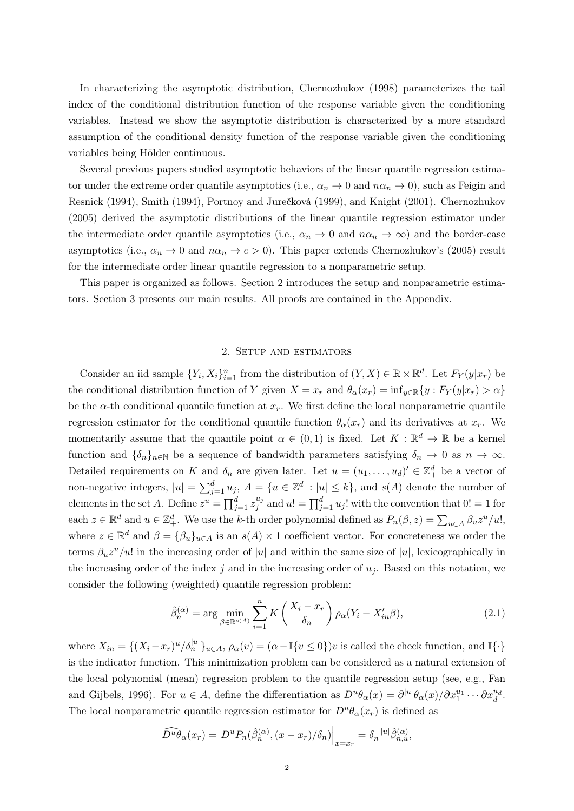In characterizing the asymptotic distribution, Chernozhukov (1998) parameterizes the tail index of the conditional distribution function of the response variable given the conditioning variables. Instead we show the asymptotic distribution is characterized by a more standard assumption of the conditional density function of the response variable given the conditioning variables being Hölder continuous.

Several previous papers studied asymptotic behaviors of the linear quantile regression estimator under the extreme order quantile asymptotics (i.e.,  $\alpha_n \to 0$  and  $n\alpha_n \to 0$ ), such as Feigin and Resnick (1994), Smith (1994), Portnoy and Jurečková (1999), and Knight (2001). Chernozhukov (2005) derived the asymptotic distributions of the linear quantile regression estimator under the intermediate order quantile asymptotics (i.e.,  $\alpha_n \to 0$  and  $n\alpha_n \to \infty$ ) and the border-case asymptotics (i.e.,  $\alpha_n \to 0$  and  $n\alpha_n \to c > 0$ ). This paper extends Chernozhukov's (2005) result for the intermediate order linear quantile regression to a nonparametric setup.

This paper is organized as follows. Section 2 introduces the setup and nonparametric estimators. Section 3 presents our main results. All proofs are contained in the Appendix.

## 2. Setup and estimators

Consider an iid sample  $\{Y_i, X_i\}_{i=1}^n$  from the distribution of  $(Y, X) \in \mathbb{R} \times \mathbb{R}^d$ . Let  $F_Y(y|x_r)$  be the conditional distribution function of Y given  $X = x_r$  and  $\theta_\alpha(x_r) = \inf_{y \in \mathbb{R}} \{y : F_Y(y|x_r) > \alpha\}$ be the  $\alpha$ -th conditional quantile function at  $x_r$ . We first define the local nonparametric quantile regression estimator for the conditional quantile function  $\theta_{\alpha}(x_r)$  and its derivatives at  $x_r$ . We momentarily assume that the quantile point  $\alpha \in (0,1)$  is fixed. Let  $K : \mathbb{R}^d \to \mathbb{R}$  be a kernel function and  $\{\delta_n\}_{n\in\mathbb{N}}$  be a sequence of bandwidth parameters satisfying  $\delta_n \to 0$  as  $n \to \infty$ . Detailed requirements on K and  $\delta_n$  are given later. Let  $u = (u_1, \ldots, u_d)' \in \mathbb{Z}_+^d$  be a vector of non-negative integers,  $|u| = \sum_{j=1}^d u_j$ ,  $A = \{u \in \mathbb{Z}_+^d : |u| \leq k\}$ , and  $s(A)$  denote the number of elements in the set A. Define  $z^u = \prod_{j=1}^d z_j^{u_j}$  $j^{u_j}$  and  $u! = \prod_{j=1}^d u_j!$  with the convention that  $0! = 1$  for each  $z \in \mathbb{R}^d$  and  $u \in \mathbb{Z}_+^d$ . We use the k-th order polynomial defined as  $P_n(\beta, z) = \sum_{u \in A} \beta_u z^u/u!$ , where  $z \in \mathbb{R}^d$  and  $\beta = {\beta_u}_{u \in A}$  is an  $s(A) \times 1$  coefficient vector. For concreteness we order the terms  $\beta_u z^u/u!$  in the increasing order of |u| and within the same size of |u|, lexicographically in the increasing order of the index j and in the increasing order of  $u_j$ . Based on this notation, we consider the following (weighted) quantile regression problem:

$$
\hat{\beta}_n^{(\alpha)} = \arg \min_{\beta \in \mathbb{R}^{s(A)}} \sum_{i=1}^n K\left(\frac{X_i - x_r}{\delta_n}\right) \rho_\alpha (Y_i - X_{in}'\beta),\tag{2.1}
$$

where  $X_{in} = \{(X_i - x_r)^u / \delta_n^{|u|}\}_{u \in A}, \rho_\alpha(v) = (\alpha - \mathbb{I}\{v \le 0\})v$  is called the check function, and  $\mathbb{I}\{\cdot\}$ is the indicator function. This minimization problem can be considered as a natural extension of the local polynomial (mean) regression problem to the quantile regression setup (see, e.g., Fan and Gijbels, 1996). For  $u \in A$ , define the differentiation as  $D^u \theta_\alpha(x) = \partial^{|u|} \theta_\alpha(x) / \partial x_1^{u_1} \cdots \partial x_d^{u_d}$ . The local nonparametric quantile regression estimator for  $D^u\theta_\alpha(x_r)$  is defined as

$$
\widehat{D^u \theta}_\alpha(x_r) = D^u P_n(\hat{\beta}_n^{(\alpha)}, (x - x_r)/\delta_n) \Big|_{x = x_r} = \delta_n^{-|u|} \hat{\beta}_{n,u}^{(\alpha)},
$$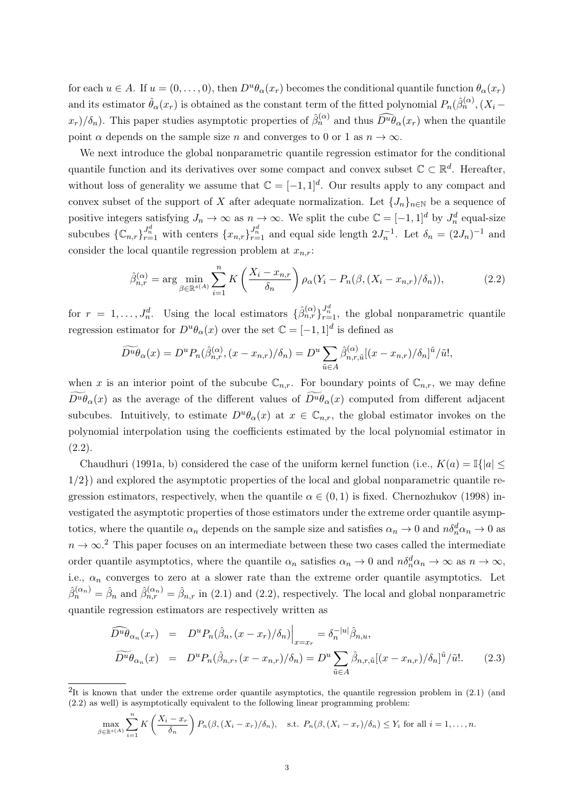for each  $u \in A$ . If  $u = (0, \ldots, 0)$ , then  $D^u \theta_\alpha(x_r)$  becomes the conditional quantile function  $\theta_\alpha(x_r)$ and its estimator  $\hat{\theta}_{\alpha}(x_r)$  is obtained as the constant term of the fitted polynomial  $P_n(\hat{\beta}_n^{(\alpha)},(X_i-\hat{\beta}_n^{(\alpha)}))$  $(x_r)/\delta_n$ ). This paper studies asymptotic properties of  $\hat{\beta}_n^{(\alpha)}$  and thus  $\widehat{D^u\theta}_\alpha(x_r)$  when the quantile point  $\alpha$  depends on the sample size n and converges to 0 or 1 as  $n \to \infty$ .

We next introduce the global nonparametric quantile regression estimator for the conditional quantile function and its derivatives over some compact and convex subset  $\mathbb{C} \subset \mathbb{R}^d$ . Hereafter, without loss of generality we assume that  $\mathbb{C} = [-1,1]^d$ . Our results apply to any compact and convex subset of the support of X after adequate normalization. Let  ${J_n}_{n\in\mathbb{N}}$  be a sequence of positive integers satisfying  $J_n \to \infty$  as  $n \to \infty$ . We split the cube  $\mathbb{C} = [-1,1]^d$  by  $J_n^d$  equal-size subcubes  $\{\mathbb{C}_{n,r}\}_{r=1}^{J_n^d}$  with centers  $\{x_{n,r}\}_{r=1}^{J_n^d}$  and equal side length  $2J_n^{-1}$ . Let  $\delta_n = (2J_n)^{-1}$  and consider the local quantile regression problem at  $x_{n,r}$ :

$$
\hat{\beta}_{n,r}^{(\alpha)} = \arg\min_{\beta \in \mathbb{R}^{s(A)}} \sum_{i=1}^{n} K\left(\frac{X_i - x_{n,r}}{\delta_n}\right) \rho_\alpha (Y_i - P_n(\beta, (X_i - x_{n,r})/\delta_n)),\tag{2.2}
$$

for  $r = 1, \ldots, J_n^d$ . Using the local estimators  $\{\hat{\beta}_{n,r}^{(\alpha)}\}_{r=1}^{J_n^d}$ , the global nonparametric quantile regression estimator for  $D^u\theta_\alpha(x)$  over the set  $\mathbb{C} = [-1,1]^d$  is defined as

$$
\widetilde{D^u \theta}_\alpha(x) = D^u P_n(\hat{\beta}_{n,r}^{(\alpha)}, (x - x_{n,r})/\delta_n) = D^u \sum_{\tilde{u} \in A} \hat{\beta}_{n,r,\tilde{u}}^{(\alpha)} [(x - x_{n,r})/\delta_n]^{\tilde{u}}/\tilde{u},
$$

when x is an interior point of the subcube  $\mathbb{C}_{n,r}$ . For boundary points of  $\mathbb{C}_{n,r}$ , we may define  $\widetilde{D^u \theta_\alpha}(x)$  as the average of the different values of  $\widetilde{D^u \theta_\alpha}(x)$  computed from different adjacent subcubes. Intuitively, to estimate  $D^u\theta_\alpha(x)$  at  $x \in \mathbb{C}_{n,r}$ , the global estimator invokes on the polynomial interpolation using the coefficients estimated by the local polynomial estimator in  $(2.2).$ 

Chaudhuri (1991a, b) considered the case of the uniform kernel function (i.e.,  $K(a) = \mathbb{I}\{|a| \leq$  $1/2$ }) and explored the asymptotic properties of the local and global nonparametric quantile regression estimators, respectively, when the quantile  $\alpha \in (0,1)$  is fixed. Chernozhukov (1998) investigated the asymptotic properties of those estimators under the extreme order quantile asymptotics, where the quantile  $\alpha_n$  depends on the sample size and satisfies  $\alpha_n \to 0$  and  $n\delta_n^d \alpha_n \to 0$  as  $n \to \infty$ <sup>2</sup>. This paper focuses on an intermediate between these two cases called the intermediate order quantile asymptotics, where the quantile  $\alpha_n$  satisfies  $\alpha_n \to 0$  and  $n\delta_n^d \alpha_n \to \infty$  as  $n \to \infty$ , i.e.,  $\alpha_n$  converges to zero at a slower rate than the extreme order quantile asymptotics. Let  $\hat{\beta}_n^{(\alpha_n)} = \hat{\beta}_n$  and  $\hat{\beta}_{n,r}^{(\alpha_n)} = \hat{\beta}_{n,r}$  in (2.1) and (2.2), respectively. The local and global nonparametric quantile regression estimators are respectively written as

$$
\widehat{D^u \theta}_{\alpha_n}(x_r) = D^u P_n(\hat{\beta}_n, (x - x_r)/\delta_n)\Big|_{x = x_r} = \delta_n^{-|u|} \hat{\beta}_{n,u},
$$
  

$$
\widehat{D^u \theta}_{\alpha_n}(x) = D^u P_n(\hat{\beta}_{n,r}, (x - x_{n,r})/\delta_n) = D^u \sum_{\tilde{u} \in A} \hat{\beta}_{n,r,\tilde{u}}[(x - x_{n,r})/\delta_n]^{\tilde{u}}/\tilde{u}.
$$
 (2.3)

$$
\max_{\beta \in \mathbb{R}^{s(A)}} \sum_{i=1}^n K\left(\frac{X_i - x_r}{\delta_n}\right) P_n(\beta, (X_i - x_r)/\delta_n), \quad \text{s.t. } P_n(\beta, (X_i - x_r)/\delta_n) \le Y_i \text{ for all } i = 1, \dots, n.
$$

<sup>&</sup>lt;sup>2</sup>It is known that under the extreme order quantile asymptotics, the quantile regression problem in  $(2.1)$  (and (2.2) as well) is asymptotically equivalent to the following linear programming problem: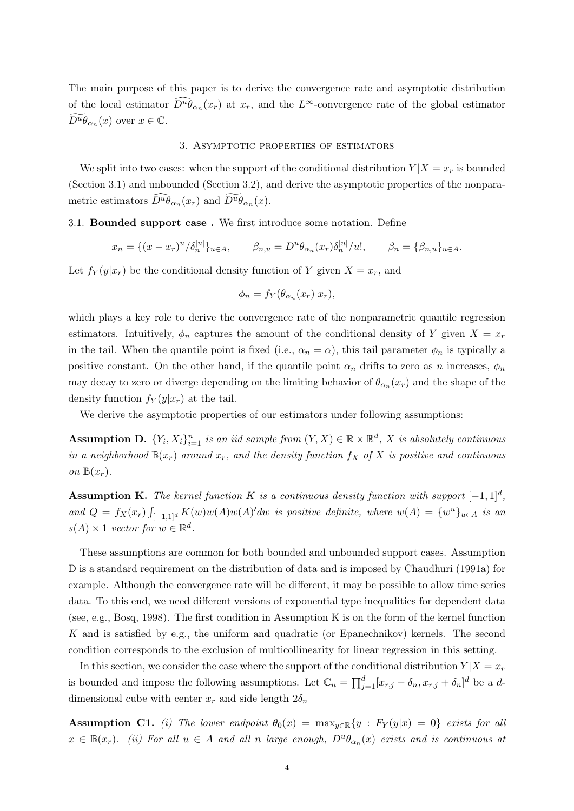The main purpose of this paper is to derive the convergence rate and asymptotic distribution of the local estimator  $\tilde{D}^u \theta_{\alpha_n}(x_r)$  at  $x_r$ , and the  $L^{\infty}$ -convergence rate of the global estimator  $\widetilde{D^u \theta}_{\alpha_n}(x)$  over  $x \in \mathbb{C}$ .

## 3. Asymptotic properties of estimators

We split into two cases: when the support of the conditional distribution  $Y|X=x_r$  is bounded (Section 3.1) and unbounded (Section 3.2), and derive the asymptotic properties of the nonparametric estimators  $\overline{D^u \theta}_{\alpha_n}(x_r)$  and  $D^u \theta_{\alpha_n}(x)$ .

## 3.1. Bounded support case . We first introduce some notation. Define

$$
x_n = \{(x - x_r)^u / \delta_n^{|u|}\}_{u \in A}, \qquad \beta_{n,u} = D^u \theta_{\alpha_n}(x_r) \delta_n^{|u|} / u!, \qquad \beta_n = \{\beta_{n,u}\}_{u \in A}.
$$

Let  $f_Y(y|x_r)$  be the conditional density function of Y given  $X = x_r$ , and

$$
\phi_n = f_Y(\theta_{\alpha_n}(x_r)|x_r),
$$

which plays a key role to derive the convergence rate of the nonparametric quantile regression estimators. Intuitively,  $\phi_n$  captures the amount of the conditional density of Y given  $X = x_r$ in the tail. When the quantile point is fixed (i.e.,  $\alpha_n = \alpha$ ), this tail parameter  $\phi_n$  is typically a positive constant. On the other hand, if the quantile point  $\alpha_n$  drifts to zero as n increases,  $\phi_n$ may decay to zero or diverge depending on the limiting behavior of  $\theta_{\alpha_n}(x_r)$  and the shape of the density function  $f_Y(y|x_r)$  at the tail.

We derive the asymptotic properties of our estimators under following assumptions:

**Assumption D.**  $\{Y_i, X_i\}_{i=1}^n$  is an iid sample from  $(Y, X) \in \mathbb{R} \times \mathbb{R}^d$ , X is absolutely continuous in a neighborhood  $\mathbb{B}(x_r)$  around  $x_r$ , and the density function  $f_X$  of X is positive and continuous on  $\mathbb{B}(x_r)$ .

**Assumption K.** The kernel function K is a continuous density function with support  $[-1,1]^d$ , and  $Q = f_X(x_r) \int_{[-1,1]^d} K(w)w(A)w(A)'dw$  is positive definite, where  $w(A) = \{w^u\}_{u \in A}$  is an  $s(A) \times 1$  vector for  $w \in \mathbb{R}^d$ .

These assumptions are common for both bounded and unbounded support cases. Assumption D is a standard requirement on the distribution of data and is imposed by Chaudhuri (1991a) for example. Although the convergence rate will be different, it may be possible to allow time series data. To this end, we need different versions of exponential type inequalities for dependent data (see, e.g., Bosq, 1998). The first condition in Assumption K is on the form of the kernel function K and is satisfied by e.g., the uniform and quadratic (or Epanechnikov) kernels. The second condition corresponds to the exclusion of multicollinearity for linear regression in this setting.

In this section, we consider the case where the support of the conditional distribution  $Y|X=x_r$ is bounded and impose the following assumptions. Let  $\mathbb{C}_n = \prod_{j=1}^d [x_{r,j} - \delta_n, x_{r,j} + \delta_n]^d$  be a ddimensional cube with center  $x_r$  and side length  $2\delta_n$ 

Assumption C1. (i) The lower endpoint  $\theta_0(x) = \max_{y \in \mathbb{R}} \{y : F_Y(y|x) = 0\}$  exists for all  $x \in \mathbb{B}(x_r)$ . (ii) For all  $u \in A$  and all n large enough,  $D^u\theta_{\alpha_n}(x)$  exists and is continuous at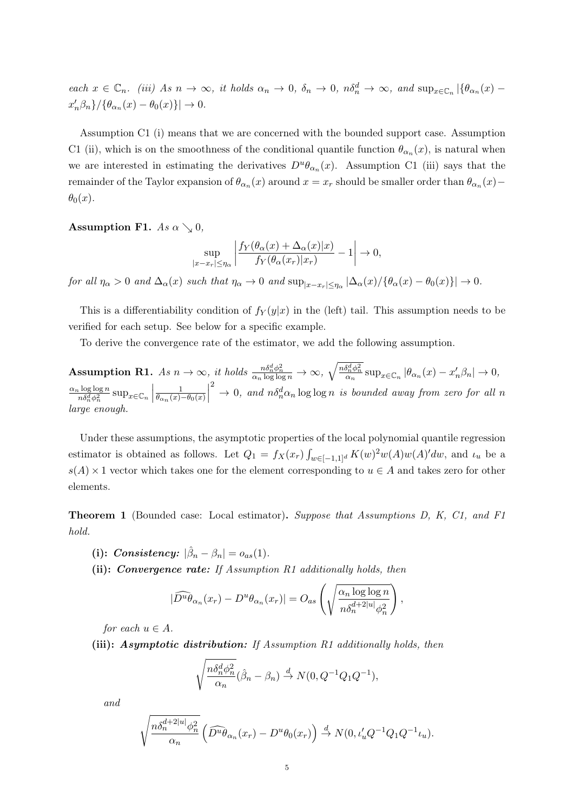each  $x \in \mathbb{C}_n$ . (iii) As  $n \to \infty$ , it holds  $\alpha_n \to 0$ ,  $\delta_n \to 0$ ,  $n\delta_n^d \to \infty$ , and  $\sup_{x \in \mathbb{C}_n} |\{\theta_{\alpha_n}(x) - \theta_n\}|$  $x'_n\beta_n$  } / { $\theta_{\alpha_n}(x) - \theta_0(x)$  } |  $\rightarrow 0$ .

Assumption C1 (i) means that we are concerned with the bounded support case. Assumption C1 (ii), which is on the smoothness of the conditional quantile function  $\theta_{\alpha_n}(x)$ , is natural when we are interested in estimating the derivatives  $D^u\theta_{\alpha_n}(x)$ . Assumption C1 (iii) says that the remainder of the Taylor expansion of  $\theta_{\alpha_n}(x)$  around  $x = x_r$  should be smaller order than  $\theta_{\alpha_n}(x)$  –  $\theta_0(x)$ .

Assumption F1. As  $\alpha \searrow 0$ ,

$$
\sup_{|x-x_r| \le \eta_\alpha} \left| \frac{f_Y(\theta_\alpha(x) + \Delta_\alpha(x)|x)}{f_Y(\theta_\alpha(x_r)|x_r)} - 1 \right| \to 0,
$$

for all  $\eta_{\alpha} > 0$  and  $\Delta_{\alpha}(x)$  such that  $\eta_{\alpha} \to 0$  and  $\sup_{|x-x_r| \leq \eta_{\alpha}} |\Delta_{\alpha}(x)/\{\theta_{\alpha}(x) - \theta_0(x)\}| \to 0$ .

This is a differentiability condition of  $f_Y(y|x)$  in the (left) tail. This assumption needs to be verified for each setup. See below for a specific example.

To derive the convergence rate of the estimator, we add the following assumption.

**Assumption R1.** As  $n \to \infty$ , it holds  $\frac{n \delta_n^d \phi_n^2}{\alpha_n \log \log n} \to \infty$ ,  $\sqrt{\frac{n \delta_n^d \phi_n^2}{\alpha_n}} \sup_{x \in \mathbb{C}_n} |\theta_{\alpha_n}(x) - x'_n \beta_n| \to 0$ ,  $\alpha_n \log \log n$  $\frac{n \log \log n}{n \delta_n^d \phi_n^2} \sup_{x \in \mathbb{C}_n}$ 1  $\theta_{\alpha_n}(x)-\theta_0(x)$  $\begin{array}{c} \begin{array}{c} \begin{array}{c} \end{array} \\ \begin{array}{c} \end{array} \end{array} \end{array}$  $\int_{0}^{2}$   $\rightarrow$  0, and  $n\delta_{n}^{d}\alpha_{n}$  log log n is bounded away from zero for all n large enough.

Under these assumptions, the asymptotic properties of the local polynomial quantile regression estimator is obtained as follows. Let  $Q_1 = f_X(x_r) \int_{w \in [-1,1]^d} K(w)^2 w(A) w(A)' dw$ , and  $\iota_u$  be a  $s(A) \times 1$  vector which takes one for the element corresponding to  $u \in A$  and takes zero for other elements.

Theorem 1 (Bounded case: Local estimator). Suppose that Assumptions D, K, C1, and F1 hold.

- (i): Consistency:  $|\hat{\beta}_n \beta_n| = o_{as}(1)$ .
- (ii): Convergence rate: If Assumption R1 additionally holds, then

$$
|\widehat{D^u \theta}_{\alpha_n}(x_r) - D^u \theta_{\alpha_n}(x_r)| = O_{as}\left(\sqrt{\frac{\alpha_n \log \log n}{n \delta_n^{d+2|u|} \phi_n^2}}\right),\,
$$

for each  $u \in A$ .

(iii): Asymptotic distribution: If Assumption R1 additionally holds, then

$$
\sqrt{\frac{n \delta_n^d \phi_n^2}{\alpha_n}} (\hat{\beta}_n - \beta_n) \stackrel{d}{\to} N(0, Q^{-1}Q_1Q^{-1}),
$$

and

$$
\sqrt{\frac{n\delta_n^{d+2|u|}\phi_n^2}{\alpha_n}}\left(\widehat{D^u\theta}_{\alpha_n}(x_r)-D^u\theta_0(x_r)\right)\stackrel{d}{\to} N(0,\iota'_uQ^{-1}Q_1Q^{-1}\iota_u).
$$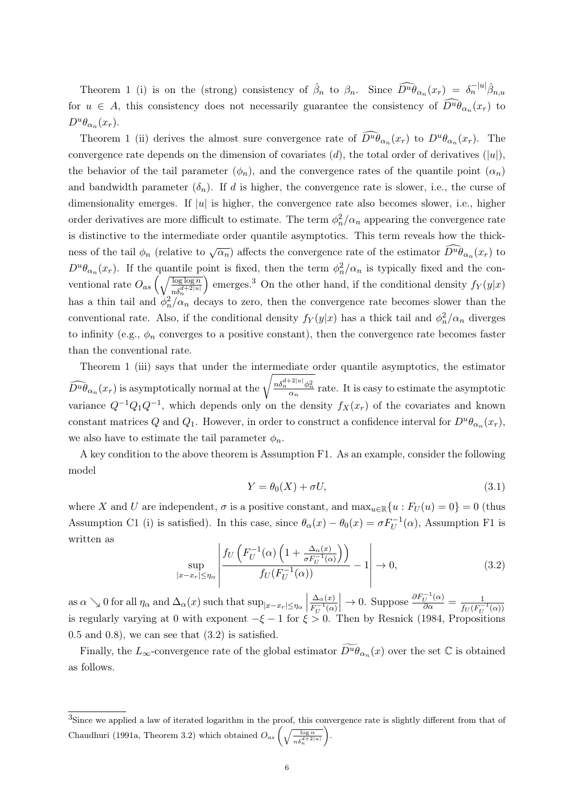Theorem 1 (i) is on the (strong) consistency of  $\hat{\beta}_n$  to  $\beta_n$ . Since  $\widehat{D^u \theta}_{\alpha_n}(x_r) = \delta_n^{-|u|} \hat{\beta}_{n,u}$ for  $u \in A$ , this consistency does not necessarily guarantee the consistency of  $D^u\theta_{\alpha_n}(x_r)$  to  $D^u\theta_{\alpha_n}(x_r)$ .

Theorem 1 (ii) derives the almost sure convergence rate of  $\widehat{D^u \theta}_{\alpha_n}(x_r)$  to  $D^u \theta_{\alpha_n}(x_r)$ . The convergence rate depends on the dimension of covariates  $(d)$ , the total order of derivatives  $(|u|)$ , the behavior of the tail parameter  $(\phi_n)$ , and the convergence rates of the quantile point  $(\alpha_n)$ and bandwidth parameter  $(\delta_n)$ . If d is higher, the convergence rate is slower, i.e., the curse of dimensionality emerges. If  $|u|$  is higher, the convergence rate also becomes slower, i.e., higher order derivatives are more difficult to estimate. The term  $\phi_n^2/\alpha_n$  appearing the convergence rate is distinctive to the intermediate order quantile asymptotics. This term reveals how the thickness of the tail  $\phi_n$  (relative to  $\sqrt{\alpha_n}$ ) affects the convergence rate of the estimator  $\widehat{D^u \theta}_{\alpha_n}(x_r)$  to  $D^u\theta_{\alpha_n}(x_r)$ . If the quantile point is fixed, then the term  $\phi_n^2/\alpha_n$  is typically fixed and the conventional rate  $O_{as} \left( \sqrt{\frac{\log \log n}{n \delta_n^{d+2|u|}}} \right)$ ) emerges.<sup>3</sup> On the other hand, if the conditional density  $f_Y(y|x)$ has a thin tail and  $\phi_n^2/\alpha_n$  decays to zero, then the convergence rate becomes slower than the conventional rate. Also, if the conditional density  $f_Y(y|x)$  has a thick tail and  $\phi_n^2/\alpha_n$  diverges to infinity (e.g.,  $\phi_n$  converges to a positive constant), then the convergence rate becomes faster than the conventional rate.

Theorem 1 (iii) says that under the intermediate order quantile asymptotics, the estimator  $\widehat{D^u \theta}_{\alpha_n}(x_r)$  is asymptotically normal at the  $\sqrt{\frac{n \delta_n^{d+2|u|} \phi_n^2}{\alpha_n}}$  rate. It is easy to estimate the asymptotic variance  $Q^{-1}Q_1Q^{-1}$ , which depends only on the density  $f_X(x_r)$  of the covariates and known constant matrices Q and Q<sub>1</sub>. However, in order to construct a confidence interval for  $D^u\theta_{\alpha_n}(x_r)$ , we also have to estimate the tail parameter  $\phi_n$ .

A key condition to the above theorem is Assumption F1. As an example, consider the following model

$$
Y = \theta_0(X) + \sigma U,\tag{3.1}
$$

where X and U are independent,  $\sigma$  is a positive constant, and  $\max_{u \in \mathbb{R}} \{u : F_U(u) = 0\} = 0$  (thus Assumption C1 (i) is satisfied). In this case, since  $\theta_{\alpha}(x) - \theta_{0}(x) = \sigma F_U^{-1}(\alpha)$ , Assumption F1 is written as

$$
\sup_{|x-x_r| \le \eta_\alpha} \left| \frac{f_U\left(F_U^{-1}(\alpha)\left(1 + \frac{\Delta_\alpha(x)}{\sigma F_U^{-1}(\alpha)}\right)\right)}{f_U(F_U^{-1}(\alpha))} - 1 \right| \to 0, \tag{3.2}
$$

as  $\alpha \searrow 0$  for all  $\eta_{\alpha}$  and  $\Delta_{\alpha}(x)$  such that  $\sup_{|x-x_r| \leq \eta_{\alpha}}$  $\Delta_{\alpha}(x)$  $F_U^{-1}(\alpha)$  $\begin{array}{c} \n\end{array}$  $\rightarrow 0$ . Suppose  $\frac{\partial F_U^{-1}(\alpha)}{\partial \alpha} = \frac{1}{f_U(F_U)}$  $f_U(F_U^{-1}(\alpha))$ is regularly varying at 0 with exponent  $-\xi - 1$  for  $\xi > 0$ . Then by Resnick (1984, Propositions  $(0.5 \text{ and } 0.8)$ , we can see that  $(3.2)$  is satisfied.

Finally, the  $L_{\infty}$ -convergence rate of the global estimator  $\widetilde{D^u \theta}_{\alpha_n}(x)$  over the set  $\mathbb C$  is obtained as follows.

<sup>3</sup>Since we applied a law of iterated logarithm in the proof, this convergence rate is slightly different from that of Chaudhuri (1991a, Theorem 3.2) which obtained  $O_{as} \left(\sqrt{\frac{\log n}{n \delta_n^{d+2|u|}}} \right)$ `).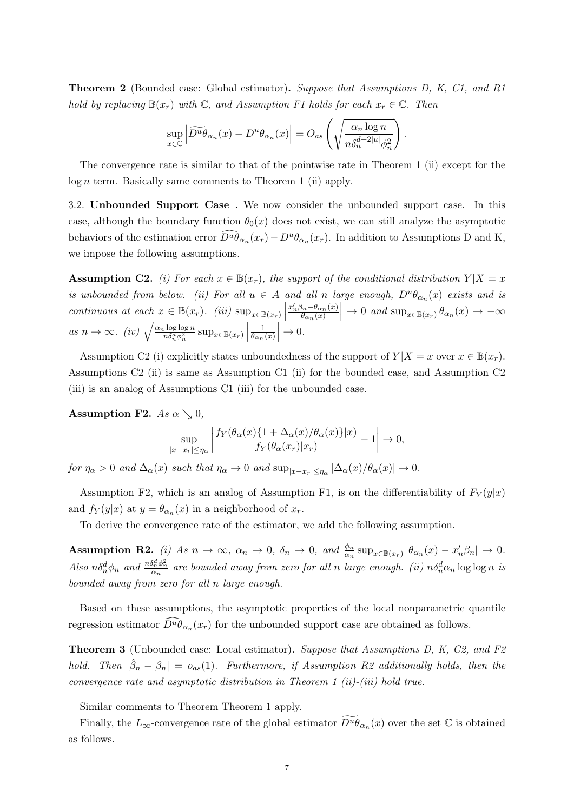Theorem 2 (Bounded case: Global estimator). Suppose that Assumptions D, K, C1, and R1 hold by replacing  $\mathbb{B}(x_r)$  with  $\mathbb{C}$ , and Assumption F1 holds for each  $x_r \in \mathbb{C}$ . Then

$$
\sup_{x \in \mathbb{C}} \left| \widetilde{D^u \theta}_{\alpha_n}(x) - D^u \theta_{\alpha_n}(x) \right| = O_{as} \left( \sqrt{\frac{\alpha_n \log n}{n \delta_n^{d+2|u|} \phi_n^2}} \right).
$$

The convergence rate is similar to that of the pointwise rate in Theorem 1 (ii) except for the  $log n$  term. Basically same comments to Theorem 1 (ii) apply.

3.2. Unbounded Support Case . We now consider the unbounded support case. In this case, although the boundary function  $\theta_0(x)$  does not exist, we can still analyze the asymptotic behaviors of the estimation error  $\widehat{D}^u \widehat{\theta}_{\alpha_n}(x_r) - D^u \theta_{\alpha_n}(x_r)$ . In addition to Assumptions D and K, we impose the following assumptions.

**Assumption C2.** (i) For each  $x \in \mathbb{B}(x_r)$ , the support of the conditional distribution  $Y|X=x$ is unbounded from below. (ii) For all  $u \in A$  and all n large enough,  $D^u\theta_{\alpha_n}(x)$  exists and is continuous at each  $x \in \mathbb{B}(x_r)$ . (iii)  $\sup_{x \in \mathbb{B}(x_r)}$  $x'_n\beta_n-\theta_{\alpha_n}(x)$  $\theta_{\alpha_n}(x)$  $\Big| \to 0$  and  $\sup_{x \in \mathbb{B}(x_r)} \theta_{\alpha_n}(x) \to -\infty$ as  $n \to \infty$ . (iv)  $\sqrt{\frac{\alpha_n \log \log n}{n \delta_n^d \phi_n^2}} \sup_{x \in \mathbb{B}(x_r)}$ 1  $\overline{\theta_{\alpha_n}(x)}$   $\rightarrow 0.$ 

Assumption C2 (i) explicitly states unboundedness of the support of  $Y|X = x$  over  $x \in \mathbb{B}(x_r)$ . Assumptions C2 (ii) is same as Assumption C1 (ii) for the bounded case, and Assumption C2 (iii) is an analog of Assumptions C1 (iii) for the unbounded case.

Assumption F2. As  $\alpha \searrow 0$ ,

$$
\sup_{|x-x_r| \le \eta_\alpha} \left| \frac{f_Y(\theta_\alpha(x)\{1+\Delta_\alpha(x)/\theta_\alpha(x)\}|x)}{f_Y(\theta_\alpha(x_r)|x_r)} - 1 \right| \to 0,
$$

for  $\eta_{\alpha} > 0$  and  $\Delta_{\alpha}(x)$  such that  $\eta_{\alpha} \to 0$  and  $\sup_{|x-x_r| \leq \eta_{\alpha}} |\Delta_{\alpha}(x)/\theta_{\alpha}(x)| \to 0$ .

Assumption F2, which is an analog of Assumption F1, is on the differentiability of  $F_Y(y|x)$ and  $f_Y(y|x)$  at  $y = \theta_{\alpha_n}(x)$  in a neighborhood of  $x_r$ .

To derive the convergence rate of the estimator, we add the following assumption.

Assumption R2. (i) As  $n \to \infty$ ,  $\alpha_n \to 0$ ,  $\delta_n \to 0$ , and  $\frac{\phi_n}{\alpha_n} \sup_{x \in \mathbb{B}(x_r)} |\theta_{\alpha_n}(x) - x'_n \beta_n| \to 0$ . Also  $n\delta_n^d\phi_n$  and  $\frac{n\delta_n^d\phi_n^2}{\alpha_n}$  are bounded away from zero for all n large enough. (ii)  $n\delta_n^d\alpha_n\log\log n$  is bounded away from zero for all n large enough.

Based on these assumptions, the asymptotic properties of the local nonparametric quantile regression estimator  $\bar{D}^u \dot{\theta}_{\alpha_n}(x_r)$  for the unbounded support case are obtained as follows.

Theorem 3 (Unbounded case: Local estimator). Suppose that Assumptions D, K, C2, and F2 hold. Then  $|\hat{\beta}_n - \beta_n| = o_{as}(1)$ . Furthermore, if Assumption R2 additionally holds, then the convergence rate and asymptotic distribution in Theorem 1 (ii)-(iii) hold true.

Similar comments to Theorem Theorem 1 apply.

Finally, the  $L_{\infty}$ -convergence rate of the global estimator  $\widetilde{D^u \theta}_{\alpha_n}(x)$  over the set  $\mathbb C$  is obtained as follows.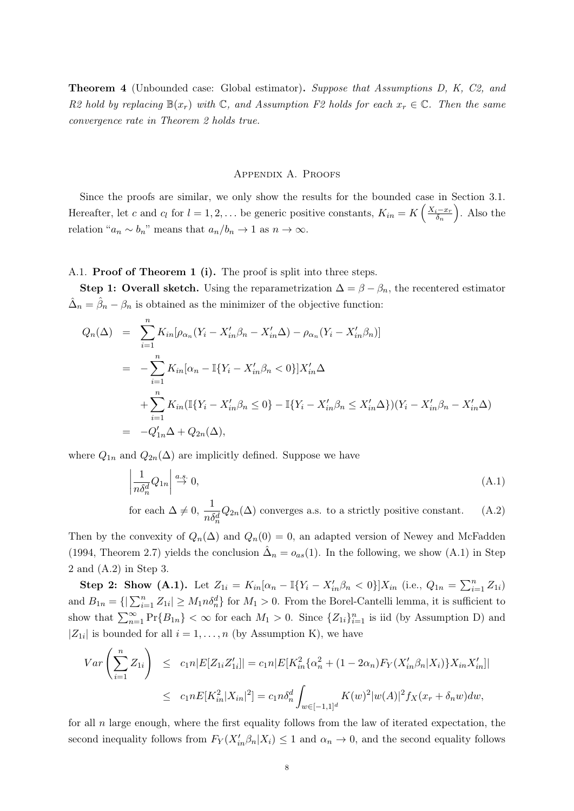Theorem 4 (Unbounded case: Global estimator). Suppose that Assumptions D, K, C2, and R2 hold by replacing  $\mathbb{B}(x_r)$  with  $\mathbb{C}$ , and Assumption F2 holds for each  $x_r \in \mathbb{C}$ . Then the same convergence rate in Theorem 2 holds true.

# Appendix A. Proofs

Since the proofs are similar, we only show the results for the bounded case in Section 3.1. Hereafter, let c and  $c_l$  for  $l = 1, 2, \ldots$  be generic positive constants,  $K_{in} = K\left(\frac{X_i - x_l}{\delta_n}\right)$  $\left(\frac{i-x_r}{\delta_n}\right)$ . Also the relation " $a_n \sim b_n$ " means that  $a_n/b_n \to 1$  as  $n \to \infty$ .

# A.1. Proof of Theorem 1 (i). The proof is split into three steps.

Step 1: Overall sketch. Using the reparametrization  $\Delta = \beta - \beta_n$ , the recentered estimator  $\hat{\Delta}_n = \hat{\beta}_n - \beta_n$  is obtained as the minimizer of the objective function:

$$
Q_n(\Delta) = \sum_{i=1}^n K_{in} [\rho_{\alpha_n} (Y_i - X'_{in} \beta_n - X'_{in} \Delta) - \rho_{\alpha_n} (Y_i - X'_{in} \beta_n)]
$$
  
= 
$$
- \sum_{i=1}^n K_{in} [\alpha_n - \mathbb{I} \{ Y_i - X'_{in} \beta_n < 0 \}] X'_{in} \Delta
$$
  
+ 
$$
\sum_{i=1}^n K_{in} (\mathbb{I} \{ Y_i - X'_{in} \beta_n \le 0 \} - \mathbb{I} \{ Y_i - X'_{in} \beta_n \le X'_{in} \Delta \}) (Y_i - X'_{in} \beta_n - X'_{in} \Delta)
$$
  
= 
$$
-Q'_{1n} \Delta + Q_{2n}(\Delta),
$$

where  $Q_{1n}$  and  $Q_{2n}(\Delta)$  are implicitly defined. Suppose we have

$$
\left| \frac{1}{n \delta_n^d} Q_{1n} \right| \stackrel{a.s.}{\to} 0,\tag{A.1}
$$

for each  $\Delta \neq 0, \frac{1}{\sqrt{2}}$  $n \delta_n^d$  $Q_{2n}(\Delta)$  converges a.s. to a strictly positive constant. (A.2)

Then by the convexity of  $Q_n(\Delta)$  and  $Q_n(0) = 0$ , an adapted version of Newey and McFadden (1994, Theorem 2.7) yields the conclusion  $\hat{\Delta}_n = o_{as}(1)$ . In the following, we show (A.1) in Step 2 and (A.2) in Step 3.

Step 2: Show (A.1). Let  $Z_{1i} = K_{in}[\alpha_n - \mathbb{I}\{Y_i - X'_{in}\beta_n < 0\}]X_{in}$  (i.e.,  $Q_{1n} = \sum_{i=1}^n Z_{1i}$ ) and  $B_{1n} = \{|\sum_{i=1}^{n} Z_{1i}| \geq M_1 n \delta_n^d\}$  for  $M_1 > 0$ . From the Borel-Cantelli lemma, it is sufficient to show that  $\sum_{n=1}^{\infty} \Pr\{B_{1n}\} < \infty$  for each  $M_1 > 0$ . Since  $\{Z_{1i}\}_{i=1}^n$  is iid (by Assumption D) and  $|Z_{1i}|$  is bounded for all  $i = 1, \ldots, n$  (by Assumption K), we have

$$
Var\left(\sum_{i=1}^{n} Z_{1i}\right) \le c_1 n |E[Z_{1i}Z'_{1i}]| = c_1 n |E[K_{in}^2\{\alpha_n^2 + (1 - 2\alpha_n)F_Y(X'_{in}\beta_n|X_i)\}X_{in}X'_{in}]|
$$
  

$$
\le c_1 n E[K_{in}^2|X_{in}|^2] = c_1 n \delta_n^d \int_{w \in [-1,1]^d} K(w)^2 |w(A)|^2 f_X(x_r + \delta_n w) dw,
$$

for all  $n$  large enough, where the first equality follows from the law of iterated expectation, the second inequality follows from  $F_Y(X_{in}^{\prime} \beta_n | X_i) \leq 1$  and  $\alpha_n \to 0$ , and the second equality follows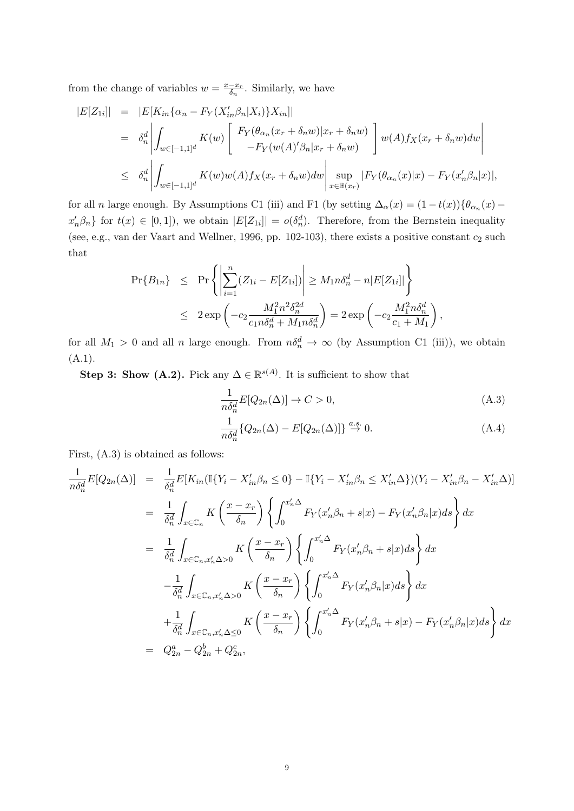from the change of variables  $w = \frac{x - x_r}{\delta}$  $\frac{-x_r}{\delta_n}$ . Similarly, we have

$$
|E[Z_{1i}]| = |E[K_{in}\{\alpha_n - F_Y(X'_{in}\beta_n|X_i)\}X_{in}]|
$$
  
\n
$$
= \delta_n^d \left| \int_{w \in [-1,1]^d} K(w) \left[ \begin{array}{c} F_Y(\theta_{\alpha_n}(x_r + \delta_n w)|x_r + \delta_n w) \\ -F_Y(w(A)'\beta_n|x_r + \delta_n w) \end{array} \right] w(A)f_X(x_r + \delta_n w) dw \right|
$$
  
\n
$$
\leq \delta_n^d \left| \int_{w \in [-1,1]^d} K(w)w(A)f_X(x_r + \delta_n w)dw \right| \sup_{x \in \mathbb{B}(x_r)} |F_Y(\theta_{\alpha_n}(x)|x) - F_Y(x'_n\beta_n|x)|,
$$

for all n large enough. By Assumptions C1 (iii) and F1 (by setting  $\Delta_{\alpha}(x) = (1 - t(x))\{\theta_{\alpha_n}(x)$  $x'_n\beta_n$  for  $t(x) \in [0,1]$ , we obtain  $|E[Z_{1i}]| = o(\delta_n^d)$ . Therefore, from the Bernstein inequality (see, e.g., van der Vaart and Wellner, 1996, pp. 102-103), there exists a positive constant  $c_2$  such that

$$
\begin{array}{rcl} \Pr\{B_{1n}\} & \leq & \Pr\left\{ \left| \sum_{i=1}^{n} (Z_{1i} - E[Z_{1i}]) \right| \geq M_1 n \delta_n^d - n |E[Z_{1i}]| \right\} \\ & \leq & 2 \exp\left( -c_2 \frac{M_1^2 n^2 \delta_n^{2d}}{c_1 n \delta_n^d + M_1 n \delta_n^d} \right) = 2 \exp\left( -c_2 \frac{M_1^2 n \delta_n^d}{c_1 + M_1} \right), \end{array}
$$

for all  $M_1 > 0$  and all n large enough. From  $n\delta_n^d \to \infty$  (by Assumption C1 (iii)), we obtain (A.1).

Step 3: Show (A.2). Pick any  $\Delta \in \mathbb{R}^{s(A)}$ . It is sufficient to show that

$$
\frac{1}{n\delta_n^d} E[Q_{2n}(\Delta)] \to C > 0,
$$
\n(A.3)

$$
\frac{1}{n\delta_n^d} \{ Q_{2n}(\Delta) - E[Q_{2n}(\Delta)] \} \stackrel{a.s.}{\to} 0. \tag{A.4}
$$

First, (A.3) is obtained as follows:

$$
\frac{1}{n\delta_n^d} E[Q_{2n}(\Delta)] = \frac{1}{\delta_n^d} E[K_{in}(\mathbb{I}\{Y_i - X'_{in}\beta_n \le 0\} - \mathbb{I}\{Y_i - X'_{in}\beta_n \le X'_{in}\Delta\})(Y_i - X'_{in}\beta_n - X'_{in}\Delta)]
$$
\n
$$
= \frac{1}{\delta_n^d} \int_{x \in \mathbb{C}_n} K\left(\frac{x - x_r}{\delta_n}\right) \left\{ \int_0^{x'_n \Delta} F_Y(x'_n\beta_n + s|x) - F_Y(x'_n\beta_n|x)ds \right\} dx
$$
\n
$$
= \frac{1}{\delta_n^d} \int_{x \in \mathbb{C}_n, x'_n \Delta > 0} K\left(\frac{x - x_r}{\delta_n}\right) \left\{ \int_0^{x'_n \Delta} F_Y(x'_n\beta_n + s|x)ds \right\} dx
$$
\n
$$
- \frac{1}{\delta_n^d} \int_{x \in \mathbb{C}_n, x'_n \Delta > 0} K\left(\frac{x - x_r}{\delta_n}\right) \left\{ \int_0^{x'_n \Delta} F_Y(x'_n\beta_n|x)ds \right\} dx
$$
\n
$$
+ \frac{1}{\delta_n^d} \int_{x \in \mathbb{C}_n, x'_n \Delta \le 0} K\left(\frac{x - x_r}{\delta_n}\right) \left\{ \int_0^{x'_n \Delta} F_Y(x'_n\beta_n + s|x) - F_Y(x'_n\beta_n|x)ds \right\} dx
$$
\n
$$
= Q_{2n}^2 - Q_{2n}^b + Q_{2n}^c,
$$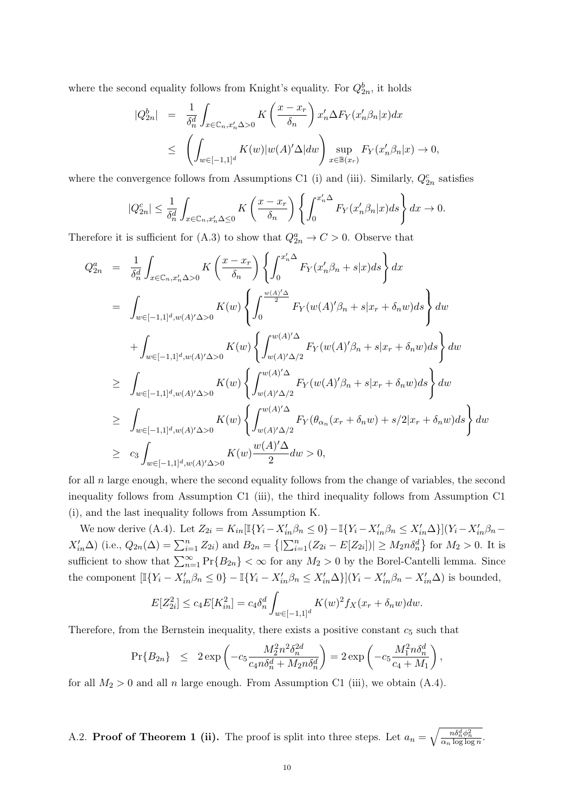where the second equality follows from Knight's equality. For  $Q_{2n}^b$ , it holds

$$
|Q_{2n}^{b}| = \frac{1}{\delta_n^d} \int_{x \in \mathbb{C}_n, x_n' \Delta > 0} K\left(\frac{x - x_r}{\delta_n}\right) x_n' \Delta F_Y(x_n' \beta_n | x) dx
$$
  
\$\leq\$ 
$$
\left( \int_{w \in [-1,1]^d} K(w) |w(A)' \Delta | dw \right) \sup_{x \in \mathbb{B}(x_r)} F_Y(x_n' \beta_n | x) \to 0,
$$

where the convergence follows from Assumptions C1 (i) and (iii). Similarly,  $Q_{2n}^c$  satisfies

$$
|Q_{2n}^c| \le \frac{1}{\delta_n^d} \int_{x \in \mathbb{C}_n, x_n' \Delta \le 0} K\left(\frac{x - x_r}{\delta_n}\right) \left\{ \int_0^{x_n' \Delta} F_Y(x_n' \beta_n | x) ds \right\} dx \to 0.
$$

Therefore it is sufficient for (A.3) to show that  $Q_{2n}^a \to C > 0$ . Observe that

$$
Q_{2n}^{a} = \frac{1}{\delta_n^d} \int_{x \in \mathbb{C}_n, x'_n \Delta > 0} K\left(\frac{x - x_r}{\delta_n}\right) \left\{ \int_0^{x'_n \Delta} F_Y(x'_n \beta_n + s | x) ds \right\} dx
$$
  
\n
$$
= \int_{w \in [-1,1]^d, w(A)' \Delta > 0} K(w) \left\{ \int_0^{\frac{w(A)' \Delta}{2}} F_Y(w(A)' \beta_n + s | x_r + \delta_n w) ds \right\} dw
$$
  
\n
$$
+ \int_{w \in [-1,1]^d, w(A)' \Delta > 0} K(w) \left\{ \int_{w(A)' \Delta/2}^{w(A)' \Delta} F_Y(w(A)' \beta_n + s | x_r + \delta_n w) ds \right\} dw
$$
  
\n
$$
\geq \int_{w \in [-1,1]^d, w(A)' \Delta > 0} K(w) \left\{ \int_{w(A)' \Delta/2}^{w(A)' \Delta} F_Y(w(A)' \beta_n + s | x_r + \delta_n w) ds \right\} dw
$$
  
\n
$$
\geq \int_{w \in [-1,1]^d, w(A)' \Delta > 0} K(w) \left\{ \int_{w(A)' \Delta/2}^{w(A)' \Delta} F_Y(\theta_{\alpha_n}(x_r + \delta_n w) + s/2 | x_r + \delta_n w) ds \right\} dw
$$
  
\n
$$
\geq c_3 \int_{w \in [-1,1]^d, w(A)' \Delta > 0} K(w) \frac{w(A)'\Delta}{2} dw > 0,
$$

for all  $n$  large enough, where the second equality follows from the change of variables, the second inequality follows from Assumption C1 (iii), the third inequality follows from Assumption C1 (i), and the last inequality follows from Assumption K.

We now derive (A.4). Let  $Z_{2i} = K_{in}[\mathbb{I}\{Y_i - X'_{in}\beta_n \leq 0\} - \mathbb{I}\{Y_i - X'_{in}\beta_n \leq X'_{in}\Delta\}](Y_i - X'_{in}\beta_n X'_{in}\Delta$  (i.e.,  $Q_{2n}(\Delta) = \sum_{i=1}^{n} Z_{2i}$ ) and  $B_{2n} = \{|\sum_{i=1}^{n} (Z_{2i} - E[Z_{2i}])| \ge M_{2}n\delta_{n}^{d}\}\)$  for  $M_{2} > 0$ . It is sufficient to show that  $\sum_{n=1}^{\infty} Pr\{B_{2n}\} < \infty$  for any  $M_2 > 0$  by the Borel-Cantelli lemma. Since the component  $[\mathbb{I}\{Y_i - X'_{in}\beta_n \leq 0\} - \mathbb{I}\{Y_i - X'_{in}\beta_n \leq X'_{in}\Delta\}](Y_i - X'_{in}\beta_n - X'_{in}\Delta)$  is bounded,

$$
E[Z_{2i}^2] \le c_4 E[K_{in}^2] = c_4 \delta_n^d \int_{w \in [-1,1]^d} K(w)^2 f_X(x_r + \delta_n w) dw.
$$

Therefore, from the Bernstein inequality, there exists a positive constant  $c_5$  such that

$$
\Pr\{B_{2n}\} \leq 2 \exp\left(-c_5 \frac{M_2^2 n^2 \delta_n^{2d}}{c_4 n \delta_n^d + M_2 n \delta_n^d}\right) = 2 \exp\left(-c_5 \frac{M_1^2 n \delta_n^d}{c_4 + M_1}\right),
$$

for all  $M_2 > 0$  and all n large enough. From Assumption C1 (iii), we obtain (A.4).

A.2. **Proof of Theorem 1 (ii).** The proof is split into three steps. Let  $a_n = \sqrt{\frac{n \delta_n^d \phi_n^2}{\alpha_n \log \log n}}$ .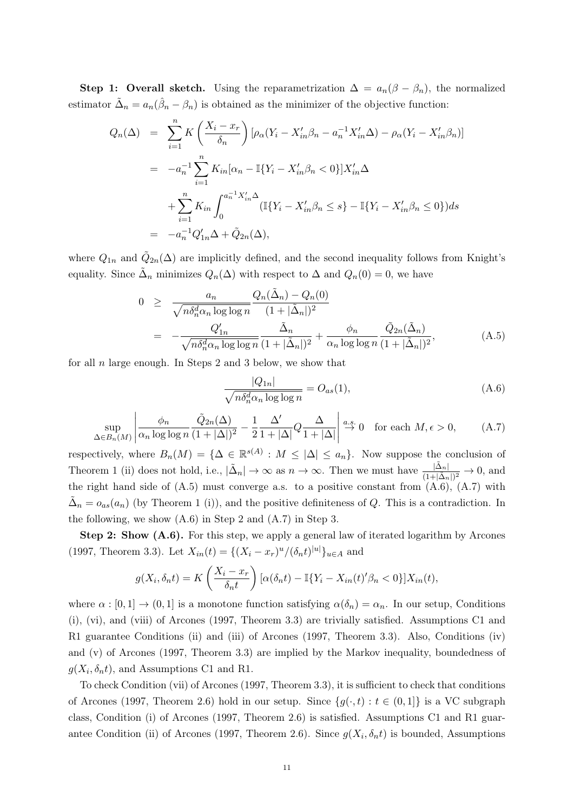Step 1: Overall sketch. Using the reparametrization  $\Delta = a_n(\beta - \beta_n)$ , the normalized estimator  $\tilde{\Delta}_n = a_n(\hat{\beta}_n - \beta_n)$  is obtained as the minimizer of the objective function:

$$
Q_n(\Delta) = \sum_{i=1}^n K\left(\frac{X_i - x_r}{\delta_n}\right) [\rho_\alpha (Y_i - X_{in}'\beta_n - a_n^{-1}X_{in}'\Delta) - \rho_\alpha (Y_i - X_{in}'\beta_n)]
$$
  

$$
= -a_n^{-1} \sum_{i=1}^n K_{in} [\alpha_n - \mathbb{I}\{Y_i - X_{in}'\beta_n < 0\}] X_{in}'\Delta
$$
  

$$
+ \sum_{i=1}^n K_{in} \int_0^{a_n^{-1}X_{in}'\Delta} (\mathbb{I}\{Y_i - X_{in}'\beta_n \le s\} - \mathbb{I}\{Y_i - X_{in}'\beta_n \le 0\}) ds
$$
  

$$
= -a_n^{-1} Q'_{1n}\Delta + \tilde{Q}_{2n}(\Delta),
$$

where  $Q_{1n}$  and  $\tilde{Q}_{2n}(\Delta)$  are implicitly defined, and the second inequality follows from Knight's equality. Since  $\tilde{\Delta}_n$  minimizes  $Q_n(\Delta)$  with respect to  $\Delta$  and  $Q_n(0) = 0$ , we have

$$
0 \geq \frac{a_n}{\sqrt{n \delta_n^d \alpha_n \log \log n}} \frac{Q_n(\tilde{\Delta}_n) - Q_n(0)}{(1 + |\tilde{\Delta}_n|)^2}
$$
  
= 
$$
-\frac{Q'_{1n}}{\sqrt{n \delta_n^d \alpha_n \log \log n}} \frac{\tilde{\Delta}_n}{(1 + |\tilde{\Delta}_n|)^2} + \frac{\phi_n}{\alpha_n \log \log n} \frac{\tilde{Q}_{2n}(\tilde{\Delta}_n)}{(1 + |\tilde{\Delta}_n|)^2},
$$
(A.5)

for all  $n$  large enough. In Steps 2 and 3 below, we show that

$$
\frac{|Q_{1n}|}{\sqrt{n\delta_n^d \alpha_n \log \log n}} = O_{as}(1),\tag{A.6}
$$

$$
\sup_{\Delta \in B_n(M)} \left| \frac{\phi_n}{\alpha_n \log \log n} \frac{\tilde{Q}_{2n}(\Delta)}{(1+|\Delta|)^2} - \frac{1}{2} \frac{\Delta'}{1+|\Delta|} Q \frac{\Delta}{1+|\Delta|} \right| \stackrel{a.s.}{\to} 0 \quad \text{for each } M, \epsilon > 0,
$$
 (A.7)

respectively, where  $B_n(M) = {\{\Delta \in \mathbb{R}^{s(A)} : M \leq |\Delta| \leq a_n\}}$ . Now suppose the conclusion of Theorem 1 (ii) does not hold, i.e.,  $|\tilde{\Delta}_n| \to \infty$  as  $n \to \infty$ . Then we must have  $\frac{|\tilde{\Delta}_n|}{(1+|\tilde{\Delta}_n|)^2} \to 0$ , and the right hand side of  $(A.5)$  must converge a.s. to a positive constant from  $(A.6)$ ,  $(A.7)$  with  $\tilde{\Delta}_n = o_{as}(a_n)$  (by Theorem 1 (i)), and the positive definiteness of Q. This is a contradiction. In the following, we show (A.6) in Step 2 and (A.7) in Step 3.

Step 2: Show (A.6). For this step, we apply a general law of iterated logarithm by Arcones (1997, Theorem 3.3). Let  $X_{in}(t) = \{(X_i - x_r)^u/(\delta_n t)^{|u|}\}_{u \in A}$  and

$$
g(X_i, \delta_n t) = K\left(\frac{X_i - x_r}{\delta_n t}\right) [\alpha(\delta_n t) - \mathbb{I}\{Y_i - X_{in}(t)'\beta_n < 0\}]X_{in}(t),
$$

where  $\alpha : [0,1] \to (0,1]$  is a monotone function satisfying  $\alpha(\delta_n) = \alpha_n$ . In our setup, Conditions (i), (vi), and (viii) of Arcones (1997, Theorem 3.3) are trivially satisfied. Assumptions C1 and R1 guarantee Conditions (ii) and (iii) of Arcones (1997, Theorem 3.3). Also, Conditions (iv) and (v) of Arcones (1997, Theorem 3.3) are implied by the Markov inequality, boundedness of  $g(X_i, \delta_n t)$ , and Assumptions C1 and R1.

To check Condition (vii) of Arcones (1997, Theorem 3.3), it is sufficient to check that conditions of Arcones (1997, Theorem 2.6) hold in our setup. Since  $\{q(\cdot,t): t \in (0,1]\}$  is a VC subgraph class, Condition (i) of Arcones (1997, Theorem 2.6) is satisfied. Assumptions C1 and R1 guarantee Condition (ii) of Arcones (1997, Theorem 2.6). Since  $g(X_i, \delta_n t)$  is bounded, Assumptions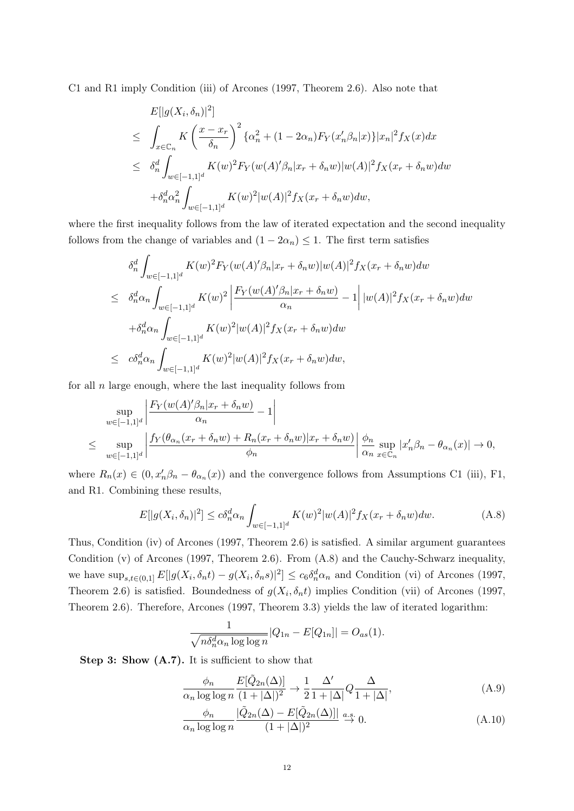C1 and R1 imply Condition (iii) of Arcones (1997, Theorem 2.6). Also note that

$$
E[|g(X_i, \delta_n)|^2]
$$
  
\n
$$
\leq \int_{x \in \mathbb{C}_n} K\left(\frac{x - x_r}{\delta_n}\right)^2 {\{\alpha_n^2 + (1 - 2\alpha_n)F_Y(x'_n\beta_n|x)\}|x_n|^2 f_X(x) dx}
$$
  
\n
$$
\leq \delta_n^d \int_{w \in [-1,1]^d} K(w)^2 F_Y(w(A)' \beta_n |x_r + \delta_n w)|w(A)|^2 f_X(x_r + \delta_n w) dw
$$
  
\n
$$
+ \delta_n^d \alpha_n^2 \int_{w \in [-1,1]^d} K(w)^2 |w(A)|^2 f_X(x_r + \delta_n w) dw,
$$

where the first inequality follows from the law of iterated expectation and the second inequality follows from the change of variables and  $(1 - 2\alpha_n) \leq 1$ . The first term satisfies

$$
\delta_n^d \int_{w \in [-1,1]^d} K(w)^2 F_Y(w(A)'\beta_n | x_r + \delta_n w) |w(A)|^2 f_X(x_r + \delta_n w) dw
$$
  
\n
$$
\leq \delta_n^d \alpha_n \int_{w \in [-1,1]^d} K(w)^2 \left| \frac{F_Y(w(A)'\beta_n | x_r + \delta_n w)}{\alpha_n} - 1 \right| |w(A)|^2 f_X(x_r + \delta_n w) dw
$$
  
\n
$$
+ \delta_n^d \alpha_n \int_{w \in [-1,1]^d} K(w)^2 |w(A)|^2 f_X(x_r + \delta_n w) dw
$$
  
\n
$$
\leq c \delta_n^d \alpha_n \int_{w \in [-1,1]^d} K(w)^2 |w(A)|^2 f_X(x_r + \delta_n w) dw,
$$

for all  $n$  large enough, where the last inequality follows from

$$
\sup_{w \in [-1,1]^d} \left| \frac{F_Y(w(A)'\beta_n | x_r + \delta_n w)}{\alpha_n} - 1 \right|
$$
\n
$$
\leq \sup_{w \in [-1,1]^d} \left| \frac{f_Y(\theta_{\alpha_n}(x_r + \delta_n w) + R_n(x_r + \delta_n w) | x_r + \delta_n w)}{\phi_n} \right| \frac{\phi_n}{\alpha_n} \sup_{x \in \mathbb{C}_n} |x'_n \beta_n - \theta_{\alpha_n}(x)| \to 0,
$$

where  $R_n(x) \in (0, x_n'\beta_n - \theta_{\alpha_n}(x))$  and the convergence follows from Assumptions C1 (iii), F1, and R1. Combining these results,

$$
E[|g(X_i, \delta_n)|^2] \le c\delta_n^d \alpha_n \int_{w \in [-1,1]^d} K(w)^2 |w(A)|^2 f_X(x_r + \delta_n w) dw. \tag{A.8}
$$

Thus, Condition (iv) of Arcones (1997, Theorem 2.6) is satisfied. A similar argument guarantees Condition (v) of Arcones (1997, Theorem 2.6). From (A.8) and the Cauchy-Schwarz inequality, we have  $\sup_{s,t\in(0,1]} E[|g(X_i,\delta_nt)-g(X_i,\delta_ns)|^2] \leq c_6\delta_n^d\alpha_n$  and Condition (vi) of Arcones (1997, Theorem 2.6) is satisfied. Boundedness of  $g(X_i, \delta_n t)$  implies Condition (vii) of Arcones (1997, Theorem 2.6). Therefore, Arcones (1997, Theorem 3.3) yields the law of iterated logarithm:

$$
\frac{1}{\sqrt{n\delta_n^d \alpha_n \log \log n}} |Q_{1n} - E[Q_{1n}]| = O_{as}(1).
$$

Step 3: Show  $(A.7)$ . It is sufficient to show that

$$
\frac{\phi_n}{\alpha_n \log \log n} \frac{E[\tilde{Q}_{2n}(\Delta)]}{(1+|\Delta|)^2} \to \frac{1}{2} \frac{\Delta'}{1+|\Delta|} Q \frac{\Delta}{1+|\Delta|},\tag{A.9}
$$

$$
\frac{\phi_n}{\alpha_n \log \log n} \frac{|\tilde{Q}_{2n}(\Delta) - E[\tilde{Q}_{2n}(\Delta)]|}{(1 + |\Delta|)^2} \stackrel{a.s.}{\to} 0.
$$
\n(A.10)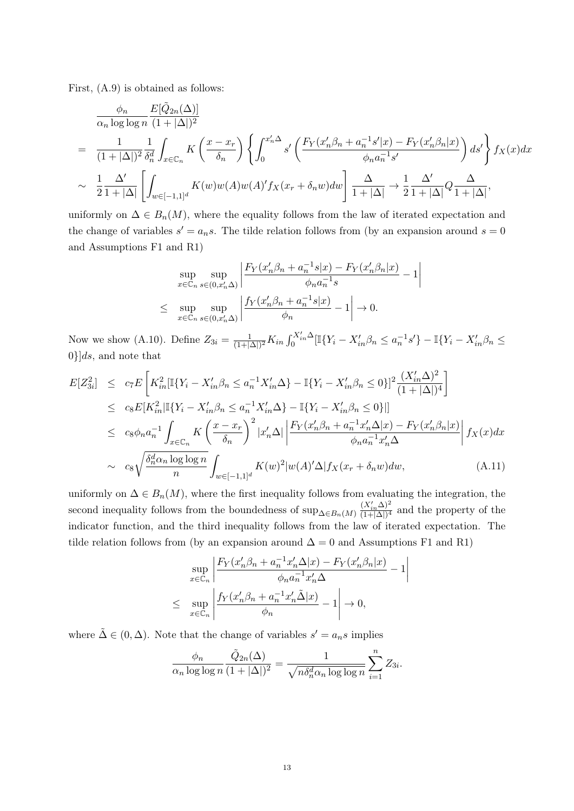First, (A.9) is obtained as follows:

$$
\frac{\phi_n}{\alpha_n \log \log n} \frac{E[\tilde{Q}_{2n}(\Delta)]}{(1+|\Delta|)^2} \n= \frac{1}{(1+|\Delta|)^2} \frac{1}{\delta_n^d} \int_{x \in \mathbb{C}_n} K\left(\frac{x-x_r}{\delta_n}\right) \left\{ \int_0^{x'_n \Delta} s'\left(\frac{F_Y(x'_n \beta_n + a_n^{-1} s'|x) - F_Y(x'_n \beta_n | x)}{\phi_n a_n^{-1} s'}\right) ds' \right\} f_X(x) dx \n\sim \frac{1}{2} \frac{\Delta'}{1+|\Delta|} \left[ \int_{w \in [-1,1]^d} K(w)w(A)w(A)' f_X(x_r + \delta_n w) dw \right] \frac{\Delta}{1+|\Delta|} \to \frac{1}{2} \frac{\Delta'}{1+|\Delta|} Q \frac{\Delta}{1+|\Delta|},
$$

uniformly on  $\Delta \in B_n(M)$ , where the equality follows from the law of iterated expectation and the change of variables  $s' = a_n s$ . The tilde relation follows from (by an expansion around  $s = 0$ and Assumptions F1 and R1)

$$
\sup_{x \in \mathbb{C}_n} \sup_{s \in (0, x'_n \Delta)} \left| \frac{F_Y(x'_n \beta_n + a_n^{-1} s | x) - F_Y(x'_n \beta_n | x)}{\phi_n a_n^{-1} s} - 1 \right|
$$
  

$$
\leq \sup_{x \in \mathbb{C}_n} \sup_{s \in (0, x'_n \Delta)} \left| \frac{f_Y(x'_n \beta_n + a_n^{-1} s | x)}{\phi_n} - 1 \right| \to 0.
$$

 $\bigg\}$  $\bigg]$  $\frac{1}{2}$  $\overline{\phantom{a}}$ 

Now we show (A.10). Define  $Z_{3i} = \frac{1}{(1+i)}$  $\frac{1}{(1+|\Delta|)^2} K_{in} \int_0^{X'_{in}\Delta} [\mathbb{I}\{Y_i - X'_{in}\beta_n \leq a_n^{-1}s'\} - \mathbb{I}\{Y_i - X'_{in}\beta_n \leq a_n^{-1}s'\}]$  $0\}$ ds, and note that

$$
E[Z_{3i}^2] \le c_7 E \left[ K_{in}^2 [\mathbb{I}\{Y_i - X_{in}'\beta_n \le a_n^{-1}X_{in}'\Delta\} - \mathbb{I}\{Y_i - X_{in}'\beta_n \le 0\}]^2 \frac{(X_{in}'\Delta)^2}{(1+|\Delta|)^4} \right]
$$
  
\n
$$
\le c_8 E[K_{in}^2 |\mathbb{I}\{Y_i - X_{in}'\beta_n \le a_n^{-1}X_{in}'\Delta\} - \mathbb{I}\{Y_i - X_{in}'\beta_n \le 0\}]
$$
  
\n
$$
\le c_8 \phi_n a_n^{-1} \int_{x \in \mathbb{C}_n} K \left( \frac{x - x_r}{\delta_n} \right)^2 |x_n'\Delta| \left| \frac{F_Y(x_n'\beta_n + a_n^{-1}x_n'\Delta|x) - F_Y(x_n'\beta_n|x)}{\phi_n a_n^{-1}x_n'\Delta} \right| f_X(x) dx
$$
  
\n
$$
\sim c_8 \sqrt{\frac{\delta_n^d \alpha_n \log \log n}{n}} \int_{w \in [-1,1]^d} K(w)^2 |w(A)'\Delta| f_X(x_r + \delta_n w) dw,
$$
 (A.11)

uniformly on  $\Delta \in B_n(M)$ , where the first inequality follows from evaluating the integration, the second inequality follows from the boundedness of  $\sup_{\Delta \in B_n(M)} \frac{(X'_{in}\Delta)^2}{(1+|\Delta|)^4}$  and the property of the indicator function, and the third inequality follows from the law of iterated expectation. The tilde relation follows from (by an expansion around  $\Delta = 0$  and Assumptions F1 and R1)

$$
\sup_{x \in \mathbb{C}_n} \left| \frac{F_Y(x'_n \beta_n + a_n^{-1} x'_n \Delta | x) - F_Y(x'_n \beta_n | x)}{\phi_n a_n^{-1} x'_n \Delta} - 1 \right|
$$
  

$$
\leq \sup_{x \in \mathbb{C}_n} \left| \frac{f_Y(x'_n \beta_n + a_n^{-1} x'_n \tilde{\Delta} | x)}{\phi_n} - 1 \right| \to 0,
$$

where  $\tilde{\Delta} \in (0, \Delta)$ . Note that the change of variables  $s' = a_n s$  implies

$$
\frac{\phi_n}{\alpha_n \log \log n} \frac{\tilde{Q}_{2n}(\Delta)}{(1+|\Delta|)^2} = \frac{1}{\sqrt{n \delta_n^d \alpha_n \log \log n}} \sum_{i=1}^n Z_{3i}.
$$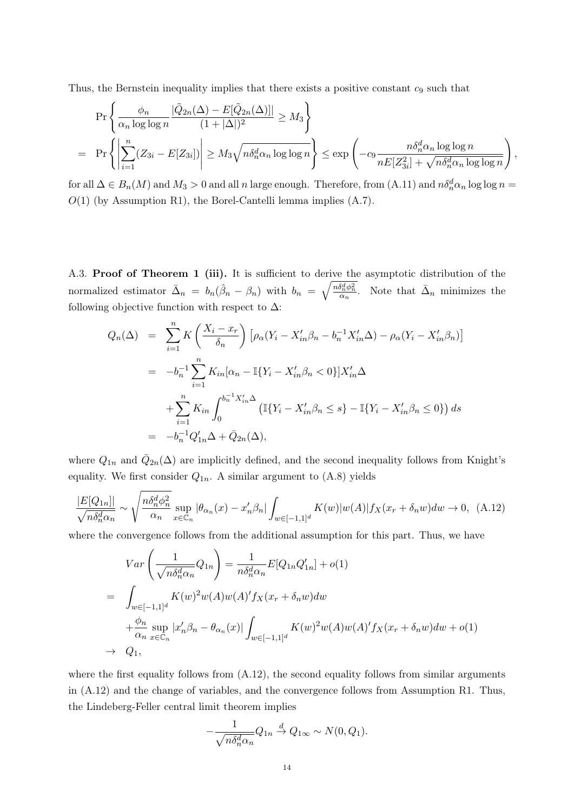Thus, the Bernstein inequality implies that there exists a positive constant  $c_9$  such that

$$
\Pr\left\{\frac{\phi_n}{\alpha_n \log \log n} \frac{|\tilde{Q}_{2n}(\Delta) - E[\tilde{Q}_{2n}(\Delta)]|}{(1 + |\Delta|)^2} \ge M_3\right\}
$$
\n
$$
= \Pr\left\{\left|\sum_{i=1}^n (Z_{3i} - E[Z_{3i}])\right| \ge M_3 \sqrt{n \delta_n^d \alpha_n \log \log n}\right\} \le \exp\left(-c_9 \frac{n \delta_n^d \alpha_n \log \log n}{n E[Z_{3i}^2] + \sqrt{n \delta_n^d \alpha_n \log \log n}}\right),
$$

for all  $\Delta \in B_n(M)$  and  $M_3 > 0$  and all n large enough. Therefore, from  $(A.11)$  and  $n\delta_n^d\alpha_n \log \log n =$  $O(1)$  (by Assumption R1), the Borel-Cantelli lemma implies  $(A.7)$ .

A.3. Proof of Theorem 1 (iii). It is sufficient to derive the asymptotic distribution of the normalized estimator  $\bar{\Delta}_n = b_n(\hat{\beta}_n - \beta_n)$  with  $b_n = \sqrt{\frac{n \delta_n^d \phi_n^2}{\alpha_n}}$ . Note that  $\bar{\Delta}_n$  minimizes the following objective function with respect to  $\Delta$ :

$$
Q_n(\Delta) = \sum_{i=1}^n K\left(\frac{X_i - x_r}{\delta_n}\right) \left[\rho_\alpha (Y_i - X'_{in} \beta_n - b_n^{-1} X'_{in} \Delta) - \rho_\alpha (Y_i - X'_{in} \beta_n)\right]
$$
  

$$
= -b_n^{-1} \sum_{i=1}^n K_{in} [\alpha_n - \mathbb{I}\{Y_i - X'_{in} \beta_n < 0\}] X'_{in} \Delta
$$
  

$$
+ \sum_{i=1}^n K_{in} \int_0^{b_n^{-1} X'_{in} \Delta} \left(\mathbb{I}\{Y_i - X'_{in} \beta_n \le s\} - \mathbb{I}\{Y_i - X'_{in} \beta_n \le 0\}\right) ds
$$
  

$$
= -b_n^{-1} Q'_{1n} \Delta + \bar{Q}_{2n}(\Delta),
$$

where  $Q_{1n}$  and  $\overline{Q}_{2n}(\Delta)$  are implicitly defined, and the second inequality follows from Knight's equality. We first consider  $Q_{1n}$ . A similar argument to  $(A.8)$  yields

$$
\frac{|E[Q_{1n}]|}{\sqrt{n\delta_n^d\alpha_n}} \sim \sqrt{\frac{n\delta_n^d\phi_n^2}{\alpha_n}} \sup_{x \in \mathbb{C}_n} |\theta_{\alpha_n}(x) - x_n'\beta_n| \int_{w \in [-1,1]^d} K(w)|w(A)| f_X(x_r + \delta_n w) dw \to 0, \tag{A.12}
$$

where the convergence follows from the additional assumption for this part. Thus, we have

$$
Var\left(\frac{1}{\sqrt{n\delta_n^d\alpha_n}}Q_{1n}\right) = \frac{1}{n\delta_n^d\alpha_n}E[Q_{1n}Q'_{1n}] + o(1)
$$
  
= 
$$
\int_{w\in[-1,1]^d} K(w)^2w(A)w(A)'f_X(x_r + \delta_n w)dw
$$
  
+ 
$$
\frac{\phi_n}{\alpha_n}\sup_{x\in\mathbb{C}_n}|x'_n\beta_n - \theta_{\alpha_n}(x)|\int_{w\in[-1,1]^d} K(w)^2w(A)w(A)'f_X(x_r + \delta_n w)dw + o(1)
$$
  

$$
\rightarrow Q_1,
$$

where the first equality follows from  $(A.12)$ , the second equality follows from similar arguments in (A.12) and the change of variables, and the convergence follows from Assumption R1. Thus, the Lindeberg-Feller central limit theorem implies

$$
-\frac{1}{\sqrt{n\delta_n^d\alpha_n}}Q_{1n} \stackrel{d}{\rightarrow} Q_{1\infty} \sim N(0, Q_1).
$$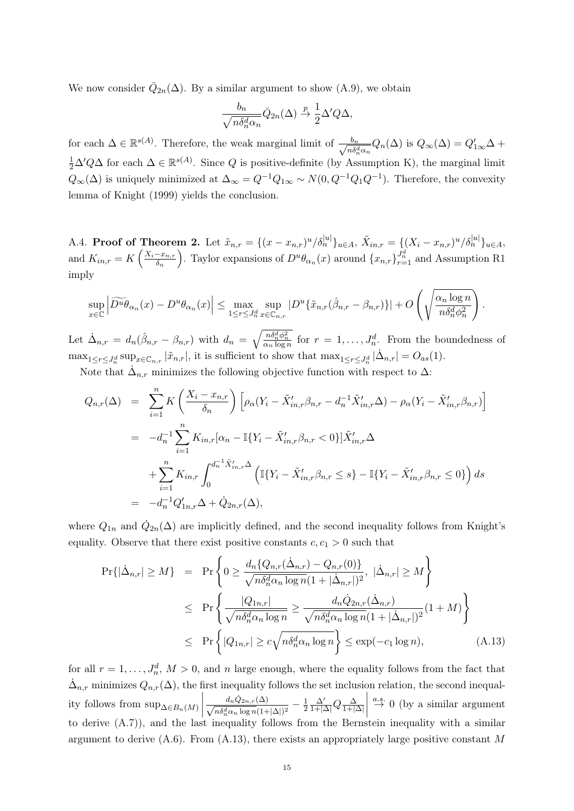We now consider  $\overline{Q}_{2n}(\Delta)$ . By a similar argument to show  $(A.9)$ , we obtain

$$
\frac{b_n}{\sqrt{n\delta_n^d\alpha_n}}\bar{Q}_{2n}(\Delta) \stackrel{p}{\to} \frac{1}{2}\Delta' Q \Delta,
$$

for each  $\Delta \in \mathbb{R}^{s(A)}$ . Therefore, the weak marginal limit of  $\frac{b_n}{\sqrt{s_n}}$  $\frac{b_n}{n\delta_n^d\alpha_n}Q_n(\Delta)$  is  $Q_\infty(\Delta) = Q'_{1\infty}\Delta +$  $\frac{1}{2}\Delta' Q\Delta$  for each  $\Delta \in \mathbb{R}^{s(A)}$ . Since Q is positive-definite (by Assumption K), the marginal limit  $Q_{\infty}(\Delta)$  is uniquely minimized at  $\Delta_{\infty} = Q^{-1}Q_{1\infty} \sim N(0, Q^{-1}Q_1Q^{-1})$ . Therefore, the convexity lemma of Knight (1999) yields the conclusion.

A.4. Proof of Theorem 2. Let  $\tilde{x}_{n,r} = \{(x - x_{n,r})^u/\delta_n^{|u|}\}_{u \in A}, \ \tilde{X}_{in,r} = \{(X_i - x_{n,r})^u/\delta_n^{|u|}\}_{u \in A},$ and  $K_{in,r} = K\left(\frac{X_i - x_{n,r}}{\delta_n}\right)$  $\left(\frac{-x_{n,r}}{\delta_n}\right)$ . Taylor expansions of  $D^u\theta_{\alpha_n}(x)$  around  $\{x_{n,r}\}_{r=1}^{J_n^d}$  and Assumption R1 imply

$$
\sup_{x\in\mathbb{C}}\left|\widetilde{D^u\theta}_{\alpha_n}(x)-D^u\theta_{\alpha_n}(x)\right|\leq \max_{1\leq r\leq J_n^d}\sup_{x\in\mathbb{C}_{n,r}}|D^u\{\tilde{x}_{n,r}(\hat{\beta}_{n,r}-\beta_{n,r})\}|+O\left(\sqrt{\frac{\alpha_n\log n}{n\delta_n^d\phi_n^2}}\right).
$$

Let  $\dot{\Delta}_{n,r} = d_n(\hat{\beta}_{n,r} - \beta_{n,r})$  with  $d_n = \sqrt{\frac{n \delta_n^d \phi_n^2}{\alpha_n \log n}}$  for  $r = 1, \ldots, J_n^d$ . From the boundedness of  $\max_{1 \leq r \leq J_n^d} \sup_{x \in \mathbb{C}_{n,r}} |\tilde{x}_{n,r}|$ , it is sufficient to show that  $\max_{1 \leq r \leq J_n^d} |\dot{\Delta}_{n,r}| = O_{as}(1)$ .

Note that  $\dot{\Delta}_{n,r}$  minimizes the following objective function with respect to  $\Delta$ :

$$
Q_{n,r}(\Delta) = \sum_{i=1}^{n} K\left(\frac{X_i - x_{n,r}}{\delta_n}\right) \left[ \rho_\alpha (Y_i - \tilde{X}'_{in,r}\beta_{n,r} - d_n^{-1}\tilde{X}'_{in,r}\Delta) - \rho_\alpha (Y_i - \tilde{X}'_{in,r}\beta_{n,r}) \right]
$$
  
\n
$$
= -d_n^{-1} \sum_{i=1}^{n} K_{in,r} [\alpha_n - \mathbb{I}\{Y_i - \tilde{X}'_{in,r}\beta_{n,r} < 0\}] \tilde{X}'_{in,r}\Delta
$$
  
\n
$$
+ \sum_{i=1}^{n} K_{in,r} \int_0^{d_n^{-1}\tilde{X}'_{in,r}\Delta} \left( \mathbb{I}\{Y_i - \tilde{X}'_{in,r}\beta_{n,r} \le s\} - \mathbb{I}\{Y_i - \tilde{X}'_{in,r}\beta_{n,r} \le 0\} \right) ds
$$
  
\n
$$
= -d_n^{-1} Q'_{1n,r}\Delta + \dot{Q}_{2n,r}(\Delta),
$$

where  $Q_{1n}$  and  $\dot{Q}_{2n}(\Delta)$  are implicitly defined, and the second inequality follows from Knight's equality. Observe that there exist positive constants  $c, c_1 > 0$  such that

$$
\Pr\{|\dot{\Delta}_{n,r}| \ge M\} = \Pr\left\{0 \ge \frac{d_n \{Q_{n,r}(\dot{\Delta}_{n,r}) - Q_{n,r}(0)\}}{\sqrt{n \delta_n^d \alpha_n \log n} (1 + |\dot{\Delta}_{n,r}|)^2}, |\dot{\Delta}_{n,r}| \ge M\right\}
$$
  
\n
$$
\le \Pr\left\{\frac{|Q_{1n,r}|}{\sqrt{n \delta_n^d \alpha_n \log n}} \ge \frac{d_n \dot{Q}_{2n,r}(\dot{\Delta}_{n,r})}{\sqrt{n \delta_n^d \alpha_n \log n} (1 + |\dot{\Delta}_{n,r}|)^2} (1 + M)\right\}
$$
  
\n
$$
\le \Pr\left\{|Q_{1n,r}| \ge c \sqrt{n \delta_n^d \alpha_n \log n}\right\} \le \exp(-c_1 \log n), \tag{A.13}
$$

for all  $r = 1, \ldots, J_n^d$ ,  $M > 0$ , and n large enough, where the equality follows from the fact that  $\dot{\Delta}_{n,r}$  minimizes  $Q_{n,r}(\Delta)$ , the first inequality follows the set inclusion relation, the second inequality follows from  $\sup_{\Delta \in B_n(M)}$  $\frac{d_n \dot{Q}_{2n,r}(\Delta)}{\sqrt{n \delta_n^d \alpha_n \log n} (1+|\Delta|)^2} - \frac{1}{2}$ 2  $\frac{\Delta'}{1+|\Delta|}Q\frac{\Delta}{1+|\Delta|}$  $\begin{array}{c} \begin{array}{c} \begin{array}{c} \end{array}\\ \begin{array}{c} \end{array} \end{array} \end{array}$  $\stackrel{a.s.}{\rightarrow} 0$  (by a similar argument to derive (A.7)), and the last inequality follows from the Bernstein inequality with a similar argument to derive  $(A.6)$ . From  $(A.13)$ , there exists an appropriately large positive constant M